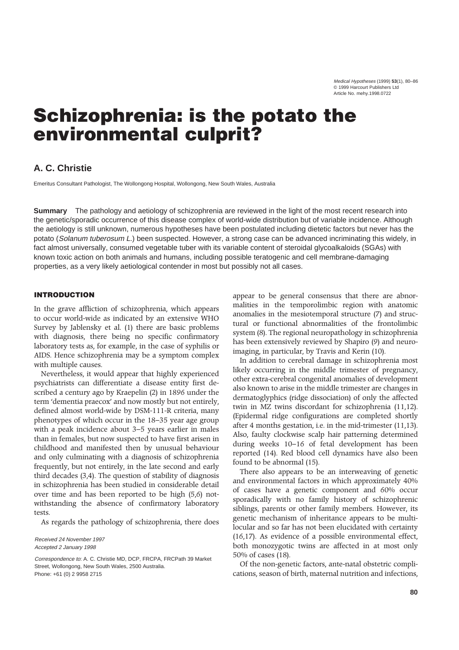# Schizophrenia: is the potato the environmental culprit?

# **A. C. Christie**

Emeritus Consultant Pathologist, The Wollongong Hospital, Wollongong, New South Wales, Australia

**Summary** The pathology and aetiology of schizophrenia are reviewed in the light of the most recent research into the genetic/sporadic occurrence of this disease complex of world-wide distribution but of variable incidence. Although the aetiology is still unknown, numerous hypotheses have been postulated including dietetic factors but never has the potato (Solanum tuberosum L.) been suspected. However, a strong case can be advanced incriminating this widely, in fact almost universally, consumed vegetable tuber with its variable content of steroidal glycoalkaloids (SGAs) with known toxic action on both animals and humans, including possible teratogenic and cell membrane-damaging properties, as a very likely aetiological contender in most but possibly not all cases.

#### INTRODUCTION

In the grave affliction of schizophrenia, which appears to occur world-wide as indicated by an extensive WHO Survey by [Jablensky et al. \(1\)](#page-4-0) there are basic problems with diagnosis, there being no specific confirmatory laboratory tests as, for example, in the case of syphilis or AIDS. Hence schizophrenia may be a symptom complex with multiple causes.

Nevertheless, it would appear that highly experienced psychiatrists can differentiate a disease entity first described a century ago by [Kraepelin \(2\)](#page-4-0) in 1896 under the term 'dementia praecox' and now mostly but not entirely, defined almost world-wide by DSM-111-R criteria, many phenotypes of which occur in the 18–35 year age group with a peak incidence about 3–5 years earlier in males than in females, but now suspected to have first arisen in childhood and manifested then by unusual behaviour and only culminating with a diagnosis of schizophrenia frequently, but not entirely, in the late second and early third decades [\(3,4\).](#page-4-0) The question of stability of diagnosis in schizophrenia has been studied in considerable detail over time and has been reported to be high (5,6) notwithstanding the absence of confirmatory laboratory tests.

As regards the pathology of schizophrenia, there does

Received 24 November 1997 Accepted 2 January 1998

Correspondence to: A. C. Christie MD, DCP, FRCPA, FRCPath 39 Market Street, Wollongong, New South Wales, 2500 Australia. Phone: +61 (0) 2 9958 2715

appear to be general consensus that there are abnormalities in the temporolimbic region with anatomic anomalies in the mesiotemporal structure [\(7\)](#page-4-0) and structural or functional abnormalities of the frontolimbic system [\(8\)](#page-4-0). The regional neuropathology in schizophrenia has been extensively reviewed by [Shapiro \(9\)](#page-4-0) and neuroimaging, in particular, by [Travis and Kerin \(10\).](#page-4-0)

In addition to cerebral damage in schizophrenia most likely occurring in the middle trimester of pregnancy, other extra-cerebral congenital anomalies of development also known to arise in the middle trimester are changes in dermatoglyphics (ridge dissociation) of only the affected twin in MZ twins discordant for schizophrenia [\(11,12\).](#page-4-0) (Epidermal ridge configurations are completed shortly after 4 months gestation, i.e. in the mid-trimester [\(11,13\).](#page-4-0) Also, faulty clockwise scalp hair patterning determined during weeks 10–16 of fetal development has been reported [\(14\).](#page-4-0) Red blood cell dynamics have also been found to be abnormal [\(15\).](#page-4-0)

There also appears to be an interweaving of genetic and environmental factors in which approximately 40% of cases have a genetic component and 60% occur sporadically with no family history of schizophrenic siblings, parents or other family members. However, its genetic mechanism of inheritance appears to be multilocular and so far has not been elucidated with certainty [\(16,17\).](#page-4-0) As evidence of a possible environmental effect, both monozygotic twins are affected in at most only 50% of cases [\(18\).](#page-4-0)

Of the non-genetic factors, ante-natal obstetric complications, season of birth, maternal nutrition and infections,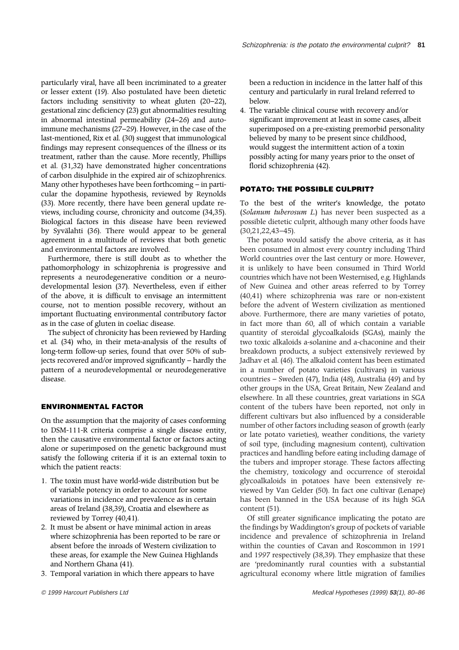particularly viral, have all been incriminated to a greater or lesser extent [\(19\)](#page-4-0). Also postulated have been dietetic factors including sensitivity to wheat gluten [\(20–22\),](#page-4-0) gestational zinc deficiency [\(23\)](#page-4-0) gut abnormalities resulting in abnormal intestinal permeability [\(24–26\)](#page-5-0) and autoimmune mechanisms [\(27–29\).](#page-5-0) However, in the case of the last-mentioned, [Rix et al. \(30\)](#page-5-0) suggest that immunological findings may represent consequences of the illness or its treatment, rather than the cause. More recently, [Phillips](#page-5-0) [et al. \(31,32\)](#page-5-0) have demonstrated higher concentrations of carbon disulphide in the expired air of schizophrenics. Many other hypotheses have been forthcoming – in particular the dopamine hypothesis, reviewed by [Reynolds](#page-5-0) [\(33\)](#page-5-0). More recently, there have been general update reviews, including course, chronicity and outcome [\(34,35\)](#page-5-0). Biological factors in this disease have been reviewed by [Syvälahti \(36\)](#page-5-0). There would appear to be general agreement in a multitude of reviews that both genetic and environmental factors are involved.

Furthermore, there is still doubt as to whether the pathomorphology in schizophrenia is progressive and represents a neurodegenerative condition or a neurodevelopmental lesion [\(37\).](#page-5-0) Nevertheless, even if either of the above, it is difficult to envisage an intermittent course, not to mention possible recovery, without an important fluctuating environmental contributory factor as in the case of gluten in coeliac disease.

The subject of chronicity has been reviewed by [Harding](#page-5-0) [et al. \(34\)](#page-5-0) who, in their meta-analysis of the results of long-term follow-up series, found that over 50% of subjects recovered and/or improved significantly – hardly the pattern of a neurodevelopmental or neurodegenerative disease.

## ENVIRONMENTAL FACTOR

On the assumption that the majority of cases conforming to DSM-111-R criteria comprise a single disease entity, then the causative environmental factor or factors acting alone or superimposed on the genetic background must satisfy the following criteria if it is an external toxin to which the patient reacts:

- 1. The toxin must have world-wide distribution but be of variable potency in order to account for some variations in incidence and prevalence as in certain areas of Ireland [\(38,39\),](#page-5-0) Croatia and elsewhere as reviewed by [Torrey \(40,41\)](#page-5-0).
- 2. It must be absent or have minimal action in areas where schizophrenia has been reported to be rare or absent before the inroads of Western civilization to these areas, for example the New Guinea Highlands and Northern Ghana [\(41\).](#page-5-0)
- 3. Temporal variation in which there appears to have

been a reduction in incidence in the latter half of this century and particularly in rural Ireland referred to below.

4. The variable clinical course with recovery and/or significant improvement at least in some cases, albeit superimposed on a pre-existing premorbid personality believed by many to be present since childhood, would suggest the intermittent action of a toxin possibly acting for many years prior to the onset of florid schizophrenia [\(42\).](#page-5-0)

#### POTATO: THE POSSIBLE CULPRIT?

To the best of the writer's knowledge, the potato (*Solanum tuberosum L.*) has never been suspected as a possible dietetic culprit, although many other foods have [\(30,](#page-5-0)[21,22,](#page-4-0)[43–45\).](#page-5-0)

The potato would satisfy the above criteria, as it has been consumed in almost every country including Third World countries over the last century or more. However, it is unlikely to have been consumed in Third World countries which have not been Westernised, e.g. Highlands of New Guinea and other areas referred to by [Torrey](#page-5-0) [\(40,41\)](#page-5-0) where schizophrenia was rare or non-existent before the advent of Western civilization as mentioned above. Furthermore, there are many varieties of potato, in fact more than 60, all of which contain a variable quantity of steroidal glycoalkaloids (SGAs), mainly the two toxic alkaloids a-solanine and a-chaconine and their breakdown products, a subject extensively reviewed by [Jadhav et al. \(46\).](#page-5-0) The alkaloid content has been estimated in a number of potato varieties (cultivars) in various countries – Sweden [\(47\),](#page-5-0) India [\(48\),](#page-5-0) Australia [\(49\)](#page-5-0) and by other groups in the USA, Great Britain, New Zealand and elsewhere. In all these countries, great variations in SGA content of the tubers have been reported, not only in different cultivars but also influenced by a considerable number of other factors including season of growth (early or late potato varieties), weather conditions, the variety of soil type, (including magnesium content), cultivation practices and handling before eating including damage of the tubers and improper storage. These factors affecting the chemistry, toxicology and occurrence of steroidal glycoalkaloids in potatoes have been extensively reviewed by [Van Gelder \(50\).](#page-5-0) In fact one cultivar (Lenape) has been banned in the USA because of its high SGA content [\(51\)](#page-5-0).

Of still greater significance implicating the potato are the findings by Waddington's group of pockets of variable incidence and prevalence of schizophrenia in Ireland within the counties of Cavan and Roscommon in 1991 and 1997 respectively [\(38,39\).](#page-5-0) They emphasize that these are 'predominantly rural counties with a substantial agricultural economy where little migration of families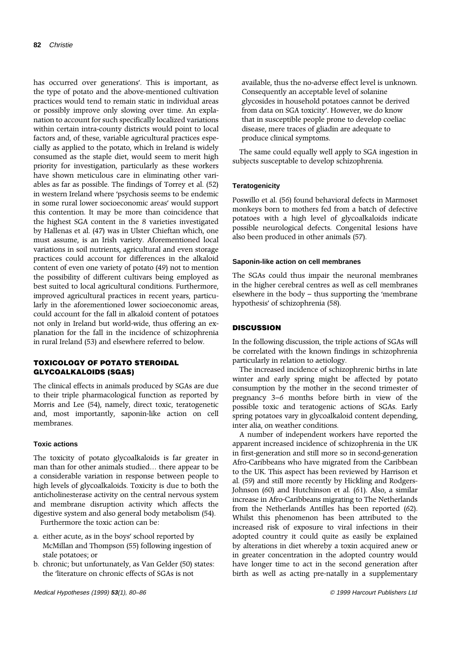has occurred over generations'. This is important, as the type of potato and the above-mentioned cultivation practices would tend to remain static in individual areas or possibly improve only slowing over time. An explanation to account for such specifically localized variations within certain intra-county districts would point to local factors and, of these, variable agricultural practices especially as applied to the potato, which in Ireland is widely consumed as the staple diet, would seem to merit high priority for investigation, particularly as these workers have shown meticulous care in eliminating other variables as far as possible. The findings of [Torrey et al. \(52\)](#page-5-0)  in western Ireland where 'psychosis seems to be endemic in some rural lower socioeconomic areas' would support this contention. It may be more than coincidence that the highest SGA content in the 8 varieties investigated by [Hallenas et al. \(47\)](#page-5-0) was in Ulster Chieftan which, one must assume, is an Irish variety. Aforementioned local variations in soil nutrients, agricultural and even storage practices could account for differences in the alkaloid content of even one variety of potato [\(49\)](#page-5-0) not to mention the possibility of different cultivars being employed as best suited to local agricultural conditions. Furthermore, improved agricultural practices in recent years, particularly in the aforementioned lower socioeconomic areas, could account for the fall in alkaloid content of potatoes not only in Ireland but world-wide, thus offering an explanation for the fall in the incidence of schizophrenia in rural Ireland [\(53\)](#page-5-0) and elsewhere referred to below.

## TOXICOLOGY OF POTATO STEROIDAL GLYCOALKALOIDS (SGAS)

The clinical effects in animals produced by SGAs are due to their triple pharmacological function as reported by [Morris and Lee \(54\),](#page-5-0) namely, direct toxic, teratogenetic and, most importantly, saponin-like action on cell membranes.

#### **Toxic actions**

The toxicity of potato glycoalkaloids is far greater in man than for other animals studied… there appear to be a considerable variation in response between people to high levels of glycoalkaloids. Toxicity is due to both the anticholinesterase activity on the central nervous system and membrane disruption activity which affects the digestive system and also general body metabolism [\(54\).](#page-5-0)

Furthermore the toxic action can be:

- a. either acute, as in the boys' school reported by [McMillan and Thompson \(55\)](#page-5-0) following ingestion of stale potatoes; or
- b. chronic; but unfortunately, as [Van Gelder \(50\)](#page-5-0) states: the 'literature on chronic effects of SGAs is not

available, thus the no-adverse effect level is unknown. Consequently an acceptable level of solanine glycosides in household potatoes cannot be derived from data on SGA toxicity'. However, we do know that in susceptible people prone to develop coeliac disease, mere traces of gliadin are adequate to produce clinical symptoms.

The same could equally well apply to SGA ingestion in subjects susceptable to develop schizophrenia.

## **Teratogenicity**

[Poswillo et al. \(56\)](#page-5-0) found behavioral defects in Marmoset monkeys born to mothers fed from a batch of defective potatoes with a high level of glycoalkaloids indicate possible neurological defects. Congenital lesions have also been produced in other animals [\(57\).](#page-5-0)

## **Saponin-like action on cell membranes**

The SGAs could thus impair the neuronal membranes in the higher cerebral centres as well as cell membranes elsewhere in the body – thus supporting the 'membrane hypothesis' of schizophrenia [\(58\).](#page-5-0)

## **DISCUSSION**

In the following discussion, the triple actions of SGAs will be correlated with the known findings in schizophrenia particularly in relation to aetiology.

The increased incidence of schizophrenic births in late winter and early spring might be affected by potato consumption by the mother in the second trimester of pregnancy 3–6 months before birth in view of the possible toxic and teratogenic actions of SGAs. Early spring potatoes vary in glycoalkaloid content depending, inter alia, on weather conditions.

A number of independent workers have reported the apparent increased incidence of schizophrenia in the UK in first-generation and still more so in second-generation Afro-Caribbeans who have migrated from the Caribbean to the UK. This aspect has been reviewed by [Harrison et](#page-5-0) [al. \(59\)](#page-5-0) and still more recently by [Hickling and Rodgers-](#page-5-0)[Johnson \(60\)](#page-5-0) and [Hutchinson et al. \(61\).](#page-5-0) Also, a similar increase in Afro-Caribbeans migrating to The Netherlands from the Netherlands Antilles has been reported [\(62\).](#page-5-0) Whilst this phenomenon has been attributed to the increased risk of exposure to viral infections in their adopted country it could quite as easily be explained by alterations in diet whereby a toxin acquired anew or in greater concentration in the adopted country would have longer time to act in the second generation after birth as well as acting pre-natally in a supplementary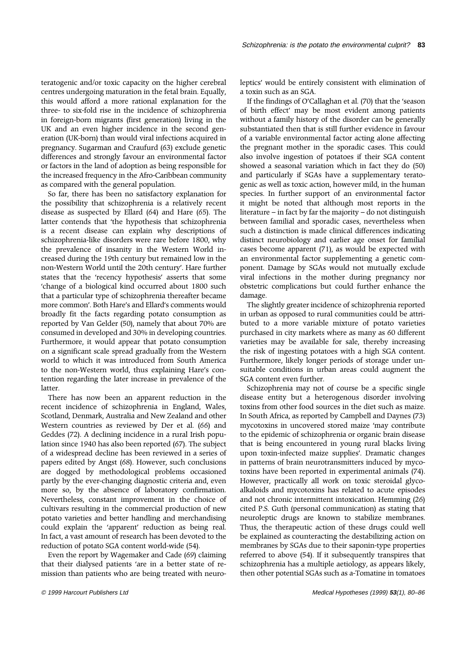teratogenic and/or toxic capacity on the higher cerebral centres undergoing maturation in the fetal brain. Equally, this would afford a more rational explanation for the three- to six-fold rise in the incidence of schizophrenia in foreign-born migrants (first generation) living in the UK and an even higher incidence in the second generation (UK-born) than would viral infections acquired in pregnancy. [Sugarman and Craufurd \(63\)](#page-5-0) exclude genetic differences and strongly favour an environmental factor or factors in the land of adoption as being responsible for the increased frequency in the Afro-Caribbean community as compared with the general population.

So far, there has been no satisfactory explanation for the possibility that schizophrenia is a relatively recent disease as suspected by [Ellard \(64\)](#page-5-0) and [Hare \(65\).](#page-5-0) The latter contends that 'the hypothesis that schizophrenia is a recent disease can explain why descriptions of schizophrenia-like disorders were rare before 1800, why the prevalence of insanity in the Western World increased during the 19th century but remained low in the non-Western World until the 20th century'. Hare further states that the 'recency hypothesis' asserts that some 'change of a biological kind occurred about 1800 such that a particular type of schizophrenia thereafter became more common'. Both Hare's and Ellard's comments would broadly fit the facts regarding potato consumption as reported by [Van Gelder \(50\),](#page-5-0) namely that about 70% are consumed in developed and 30% in developing countries. Furthermore, it would appear that potato consumption on a significant scale spread gradually from the Western world to which it was introduced from South America to the non-Western world, thus explaining Hare's contention regarding the later increase in prevalence of the latter.

There has now been an apparent reduction in the recent incidence of schizophrenia in England, Wales, Scotland, Denmark, Australia and New Zealand and other Western countries as reviewed by [Der et al. \(66\)](#page-5-0) and [Geddes \(72\).](#page-6-0) A declining incidence in a rural Irish population since 1940 has also been reported [\(67\).](#page-5-0) The subject of a widespread decline has been reviewed in a series of papers edited by [Angst \(68\)](#page-5-0). However, such conclusions are dogged by methodological problems occasioned partly by the ever-changing diagnostic criteria and, even more so, by the absence of laboratory confirmation. Nevertheless, constant improvement in the choice of cultivars resulting in the commercial production of new potato varieties and better handling and merchandising could explain the 'apparent' reduction as being real. In fact, a vast amount of research has been devoted to the reduction of potato SGA content world-wide [\(54\).](#page-5-0)

Even the report by [Wagemaker and Cade \(69\)](#page-5-0) claiming that their dialysed patients 'are in a better state of remission than patients who are being treated with neuro-

leptics' would be entirely consistent with elimination of a toxin such as an SGA.

If the findings of [O'Callaghan et al. \(70\)](#page-5-0) that the 'season of birth effect' may be most evident among patients without a family history of the disorder can be generally substantiated then that is still further evidence in favour of a variable environmental factor acting alone affecting the pregnant mother in the sporadic cases. This could also involve ingestion of potatoes if their SGA content showed a seasonal variation which in fact they do [\(50\)](#page-5-0) and particularly if SGAs have a supplementary teratogenic as well as toxic action, however mild, in the human species. In further support of an environmental factor it might be noted that although most reports in the literature – in fact by far the majority – do not distinguish between familial and sporadic cases, nevertheless when such a distinction is made clinical differences indicating distinct neurobiology and earlier age onset for familial cases become apparent [\(71\),](#page-6-0) as would be expected with an environmental factor supplementing a genetic component. Damage by SGAs would not mutually exclude viral infections in the mother during pregnancy nor obstetric complications but could further enhance the damage.

The slightly greater incidence of schizophrenia reported in urban as opposed to rural communities could be attributed to a more variable mixture of potato varieties purchased in city markets where as many as 60 different varieties may be available for sale, thereby increasing the risk of ingesting potatoes with a high SGA content. Furthermore, likely longer periods of storage under unsuitable conditions in urban areas could augment the SGA content even further.

Schizophrenia may not of course be a specific single disease entity but a heterogenous disorder involving toxins from other food sources in the diet such as maize. In South Africa, as reported by [Campbell and Daynes \(73\)](#page-6-0) mycotoxins in uncovered stored maize 'may contribute to the epidemic of schizophrenia or organic brain disease that is being encountered in young rural blacks living upon toxin-infected maize supplies'. Dramatic changes in patterns of brain neurotransmitters induced by mycotoxins have been reported in experimental animals [\(74\).](#page-6-0) However, practically all work on toxic steroidal glycoalkaloids and mycotoxins has related to acute episodes and not chronic intermittent intoxication. [Hemming \(26\)](#page-5-0) cited P.S. Guth (personal communication) as stating that neuroleptic drugs are known to stabilize membranes. Thus, the therapeutic action of these drugs could well be explained as counteracting the destabilizing action on membranes by SGAs due to their saponin-type properties referred to above [\(54\).](#page-5-0) If it subsequently transpires that schizophrenia has a multiple aetiology, as appears likely, then other potential SGAs such as a-Tomatine in tomatoes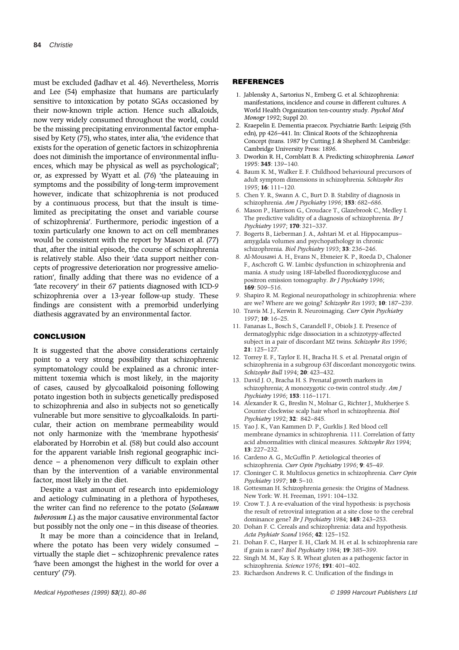<span id="page-4-0"></span>must be excluded [\(Jadhav et al. 46\).](#page-5-0) Nevertheless, [Morris](#page-5-0) [and Lee \(54\)](#page-5-0) emphasize that humans are particularly sensitive to intoxication by potato SGAs occasioned by their now-known triple action. Hence such alkaloids, now very widely consumed throughout the world, could be the missing precipitating environmental factor emphasised by [Kety \(75\),](#page-6-0) who states, inter alia, 'the evidence that exists for the operation of genetic factors in schizophrenia does not diminish the importance of environmental influences, which may be physical as well as psychological'; or, as expressed by [Wyatt et al. \(76\)](#page-6-0) 'the plateauing in symptoms and the possibility of long-term improvement however, indicate that schizophrenia is not produced by a continuous process, but that the insult is timelimited as precipitating the onset and variable course of schizophrenia'. Furthermore, periodic ingestion of a toxin particularly one known to act on cell membranes would be consistent with the report by [Mason et al. \(77\)](#page-6-0) that, after the initial episode, the course of schizophrenia is relatively stable. Also their 'data support neither concepts of progressive deterioration nor progressive amelioration', finally adding that there was no evidence of a 'late recovery' in their 67 patients diagnosed with ICD-9 schizophrenia over a 13-year follow-up study. These findings are consistent with a premorbid underlying diathesis aggravated by an environmental factor.

#### **CONCLUSION**

It is suggested that the above considerations certainly point to a very strong possibility that schizophrenic symptomatology could be explained as a chronic intermittent toxemia which is most likely, in the majority of cases, caused by glycoalkaloid poisoning following potato ingestion both in subjects genetically predisposed to schizophrenia and also in subjects not so genetically vulnerable but more sensitive to glycoalkaloids. In particular, their action on membrane permeability would not only harmonize with the 'membrane hypothesis' elaborated by [Horrobin et al. \(58\)](#page-5-0) but could also account for the apparent variable Irish regional geographic incidence – a phenomenon very difficult to explain other than by the intervention of a variable environmental factor, most likely in the diet.

Despite a vast amount of research into epidemiology and aetiology culminating in a plethora of hypotheses, the writer can find no reference to the potato (*Solanum tuberosum L.*) as the major causative environmental factor but possibly not the only one – in this disease of theories.

It may be more than a coincidence that in Ireland, where the potato has been very widely consumed – virtually the staple diet – schizophrenic prevalence rates 'have been amongst the highest in the world for over a century' [\(79\)](#page-6-0).

#### REFERENCES

- 1. Jablensky A., Sartorius N., Ernberg G. et al. Schizophrenia: manifestations, incidence and course in different cultures. A World Health Organization ten-country study. *Psychol Med Monogr* 1992; Suppl 20.
- 2. Kraepelin E. Dementia praecox. Psychiatrie Barth: Leipzig (5th edn), pp 426–441. In: Clinical Roots of the Schizophrenia Concept (trans. 1987 by Cutting J. & Shepherd M. Cambridge: Cambridge University Press: 1896.
- 3. Dworkin R. H., Cornblatt B. A. Predicting schizophrenia. *Lancet* 1995: **345**: 139–140.
- 4. Baum K. M., Walker E. F. Childhood behavioural precursors of adult symptom dimensions in schizophrenia. *Schizophr Res* 1995; **16**: 111–120.
- 5. Chen Y. R., Swann A. C., Burt D. B. Stability of diagnosis in schizophrenia. *Am J Psychiatry* 1996; **153**: 682–686.
- 6. Mason P., Harrison G., Croudace T., Glazebrook C., Medley I. The predictive validity of a diagnosis of schizophrenia. *Br J Psychiatry* 1997; **170**: 321–337.
- 7. Bogerts B., Lieberman J. A., Ashtari M. et al. Hippocampus– amygdala volumes and psychopathology in chronic schizophrenia. *Biol Psychiatry* 1993; **33**: 236–246.
- 8. Al-Mousawi A. H., Evans N., Ebmeier K. P., Roeda D., Chaloner F., Aschcroft G. W. Limbic dysfunction in schizophrenia and mania. A study using 18F-labelled fluorodioxyglucose and positron emission tomography. *Br J Psychiatry* 1996; **169**: 509–516.
- 9. Shapiro R. M. Regional neuropathology in schizophrenia: where are we? Where are we going? *Schizophr Res* 1993; **10**: 187–239.
- 10. Travis M. J., Kerwin R. Neuroimaging. *Curr Opin Psychiatry* 1997; **10**: 16–25.
- 11. Fananas L., Bosch S., Carandell F., Obiols J. E. Presence of dermatoglyphic ridge dissociation in a schizotypy-affected subject in a pair of discordant MZ twins. *Schizophr Res* 1996; **21**: 125–127.
- 12. Torrey E. F., Taylor E. H., Bracha H. S. et al. Prenatal origin of schizophrenia in a subgroup 63f discordant monozygotic twins. *Schizophr Bull* 1994; **20**: 423–432.
- 13. David J. O., Bracha H. S. Prenatal growth markers in schizophrenia; A monozygotic co-twin control study. *Am J Psychiatry* 1996; **153**: 116–1171.
- 14. Alexander R. G., Breslin N., Molnar G., Richter J., Mukherjee S. Counter clockwise scalp hair whorl in schizophrenia. *Biol Psychiatry* 1992; **32**: 842–845.
- 15. Yao J. K., Van Kammen D. P., Gurklis J. Red blood cell membrane dynamics in schizophrenia. 111. Correlation of fatty acid abnormalities with clinical measures. *Schizophr Res* 1994; **13**: 227–232.
- 16. Cardeno A. G., McGuffin P. Aetiological theories of schizophrenia. *Curr Opin Psychiatry* 1996; **9**: 45–49.
- 17. Cloninger C. R. Multilocus genetics in schizophrenia. *Curr Opin Psychiatry* 1997; **10**: 5–10.
- 18. Gottesman H. Schizophrenia genesis: the Origins of Madness. New York: W. H. Freeman, 1991: 104–132.
- 19. Crow T. J. A re-evaluation of the viral hypothesis: is psychosis the result of retroviral integration at a site close to the cerebral dominance gene? *Br J Psychiatry* 1984; **145**: 243–253.
- 20. Dohan F. C. Cereals and schizophrenia: data and hypothesis. *Acta Psyhiatr Scand* 1966; **42**: 125–152.
- 21. Dohan F. C., Harper E. H., Clark M. H. et al. Is schizophrenia rare if grain is rare? *Biol Psychiatry* 1984; **19**: 385–399.
- 22. Singh M. M., Kay S. R. Wheat gluten as a pathogenic factor in schizophrenia. *Science* 1976; **191**: 401–402.
- 23. Richardson Andrews R. C. Unification of the findings in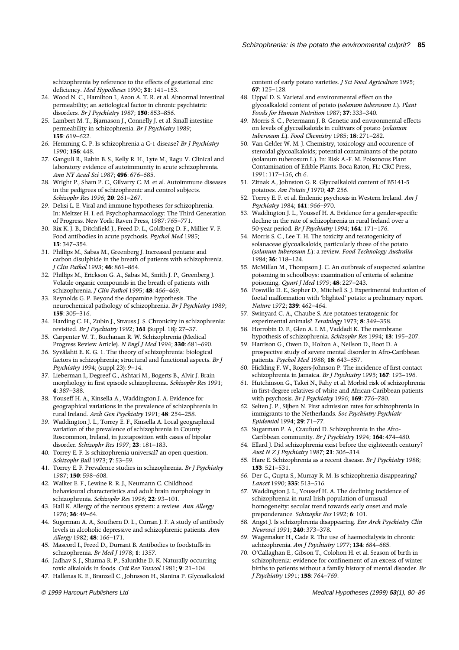<span id="page-5-0"></span>schizophrenia by reference to the effects of gestational zinc deficiency. *Med Hypotheses* 1990; **31**: 141–153.

- 24. Wood N. C., Hamilton I., Azon A. T. R. et al. Abnormal intestinal permeability; an aetiological factor in chronic psychiatric disorders. *Br J Psychiatry* 1987; **150**: 853–856.
- 25. Lambert M. T., Bjarnason J., Connelly J. et al. Small intestine permeability in schizophrenia. *Br J Psychiatry* 1989; **155**: 619–622.
- 26. Hemming G. P. Is schizophrenia a G-1 disease? *Br J Psychiatry* 1990; **156**: 448.
- 27. Ganguli R., Rabin B. S., Kelly R. H., Lyte M., Ragu V. Clinical and laboratory evidence of autoimmunity in acute schizophrenia. *Ann NY Acad Sci* 1987; **496**: 676–685.
- 28. Wright P., Sham P. C., Gilvarry C. M. et al. Autoimmune diseases in the pedigrees of schizophrenic and control subjects. *Schizophr Res* 1996; **20**: 261–267.
- 29. Delisi L. E. Viral and immune hypotheses for schizophrenia. In: Meltzer H. I. ed. Psychopharmacology: The Third Generation of Progress. New York: Raven Press, 1987: 765–771.
- 30. Rix K. J. B., Ditchfield J., Freed D. L., Goldberg D. F., Millier V. F. Food antibodies in acute psychosis. *Psychol Med* 1985; **15**: 347–354.
- 31. Phillips M., Sabas M., Greenberg J. Increased pentane and carbon disulphide in the breath of patients with schizophrenia. *J Clin Pathol* 1993; **46**: 861–864.
- 32. Phillips M., Erickson G. A., Sabas M., Smith J. P., Greenberg J. Volatile organic compounds in the breath of patients with schizophrenia. *J Clin Pathol* 1995; **48**: 466–469.
- 33. Reynolds G. P. Beyond the dopamine hypothesis. The neurochemical pathology of schizophrenia. *Br J Psychiatry* 1989; **155**: 305–316.
- 34. Harding C. H., Zubin J., Strauss J. S. Chronicity in schizophrenia: revisited. *Br J Psychiatry* 1992; **161** (Suppl. 18): 27–37.
- 35. Carpenter W. T., Buchanan R. W. Schizophrenia (Medical Progress Review Article). *N Engl J Med* 1994; **330**: 681–690.
- 36. Syvälahti E. K. G. 1. The theory of schizophrenia: biological factors in schizophrenia; structural and functional aspects. *Br J Psychiatry* 1994; (suppl 23): 9–14.
- 37. Lieberman J., Degreef G., Ashtari M., Bogerts B., Alvir J. Brain morphology in first episode schizophrenia. *Schizophr Res* 1991; **4**: 387–388.
- 38. Youseff H. A., Kinsella A., Waddington J. A. Evidence for geographical variations in the prevalence of schizophrenia in rural Ireland. *Arch Gen Psychiatry* 1991; **48**: 254–258.
- 39. Waddington J. L., Torrey E. F., Kinsella A. Local geographical variation of the prevalence of schizophrenia in County Roscommon, Ireland, in juxtaposition with cases of bipolar disorder. *Schizophr Res* 1997; **23**: 181–183.
- 40. Torrey E. F. Is schizophrenia universal? an open question. *Schizophr Bull* 1973; **7**: 53–59.
- 41. Torrey E. F. Prevalence studies in schizophrenia. *Br J Psychiatry* 1987; **150**: 598–608.
- 42. Walker E. F., Lewine R. R. J., Neumann C. Childhood behavioural characteristics and adult brain morphology in schizophrenia. *Schizophr Res* 1996; **22**: 93–101.
- 43. Hall K. Allergy of the nervous system: a review. *Ann Allergy* 1976; **36**: 49–64.
- 44. Sugerman A. A., Southern D. L., Curran J. F. A study of antibody levels in alcoholic depressive and schizophrenic patients. *Ann Allergy* 1982; **48**: 166–171.
- 45. Mascord I., Freed D., Durrant B. Antibodies to foodstuffs in schizophrenia. *Br Med J* 1978; **1**: 1357.
- 46. Jadhav S. J., Sharma R. P., Salunkhe D. K. Naturally occurring toxic alkaloids in foods. *Crit Rev Toxicol* 1981; **9**: 21–104.
- 47. Hallenas K. E., Branzell C., Johnsson H., Slanina P. Glycoalkaloid

content of early potato varieties. *J Sci Food Agriculture* 1995; **67**: 125–128.

- 48. Uppal D. S. Varietal and environmental effect on the glycoalkaloid content of potato (*solanum tuberosum L.*). *Plant Foods for Human Nutrition* 1987; **37**: 333–340.
- 49. Morris S. C., Petermann J. B. Genetic and environmental effects on levels of glycoalkaloids in cultivars of potato (*solanum tuberosum L.*). *Food Chemistry* 1985; **18**: 271–282.
- 50. Van Gelder W. M. J. Chemistry, toxicology and occurence of steroidal glycoalkaloids; potential contaminants of the potato (solanum tuberosum L.). In: Risk A.-F. M. Poisonous Plant Contamination of Edible Plants. Boca Raton, FL: CRC Press, 1991: 117–156, ch 6.
- 51. Zitnak A., Johnston G. R. Glycoalkaloid content of B5141-5 potatoes. *Am Potato J* 1970; **47**: 256.
- 52. Torrey E. F. et al. Endemic psychosis in Western Ireland. *Am J Psychiatry* 1984; **141**: 966–970.
- 53. Waddington J. L., Youssef H. A. Evidence for a gender-specific decline in the rate of schizophrenia in rural Ireland over a 50-year period. *Br J Psychiatry* 1994; **164**: 171–176.
- 54. Morris S. C., Lee T. H. The toxicity and teratogenicity of solanaceae glycoalkaloids, particularly those of the potato (*solanum tuberosum L.*): a review. *Food Technology Australia* 1984; **36**: 118–124.
- 55. McMillan M., Thompson J. C. An outbreak of suspected solanine poisoning in schoolboys: examination of criteria of solanine poisoning. *Quart J Med* 1979; **48**: 227–243.
- 56. Poswillo D. E., Sopher D., Mitchell S. J. Experimental induction of foetal malformation with 'blighted' potato: a preliminary report. *Nature* 1972; **239**: 462–464.
- 57. Swinyard C. A., Chaube S. Are potatoes teratogenic for experimental animals? *Teratology* 1973; **8**: 349–358.
- 58. Horrobin D. F., Glen A. I. M., Vaddadi K. The membrane hypothesis of schizophrenia. *Schizophr Res* 1994; **13**: 195–207.
- 59. Harrison G., Owen D., Holton A., Neilson D., Boot D. A prospective study of severe mental disorder in Afro-Caribbean patients. *Psychol Med* 1988; **18**: 643–657.
- 60. Hickling F. W., Rogers-Johnson P. The incidence of first contact schizophrenia in Jamaica. *Br J Psychiatry* 1995; **167**: 193–196.
- 61. Hutchinson G., Takei N., Fahy et al. Morbid risk of schizophrenia in first-degree relatives of white and African-Caribbean patients with psychosis. *Br J Psychiatry* 1996; **169**: 776–780.
- 62. Selten J. P., Sijben N. First admission rates for schizophrenia in immigrants to the Netherlands. *Soc Psychiatry Psychiatr Epidemiol* 1994; **29**: 71–77.
- 63. Sugarman P. A., Craufurd D. Schizophrenia in the Afro-Caribbean community. *Br J Psychiatry* 1994; **164**: 474–480.
- 64. Ellard J. Did schizophrenia exist before the eighteenth century? *Aust N Z J Psychiatry* 1987; **21**: 306–314.
- 65. Hare E. Schizophrenia as a recent disease. *Br J Psychiatry* 1988; **153**: 521–531.
- 66. Der G., Gupta S., Murray R. M. Is schizophrenia disappearing? *Lancet* 1990; **335**: 513–516.
- 67. Waddington J. L., Youssef H. A. The declining incidence of schizophrenia in rural Irish population of unusual homogeneity: secular trend towards early onset and male preponderance. *Schizophr Res* 1992; **6**: 101.
- 68. Angst J. Is schizophrenia disappearing. *Eur Arch Psychiatry Clin Neurosci* 1991; **240**: 373–378.
- 69. Wagemaker H., Cade R. The use of haemodialysis in chronic achizophrenia. *Am J Psychiatry* 1977; **134**: 684–685.
- 70. O'Callaghan E., Gibson T., Colohon H. et al. Season of birth in schizophrenia: evidence for confinement of an excess of winter births to patients without a family history of mental disorder. *Br J Psychiatry* 1991; **158**: 764–769.